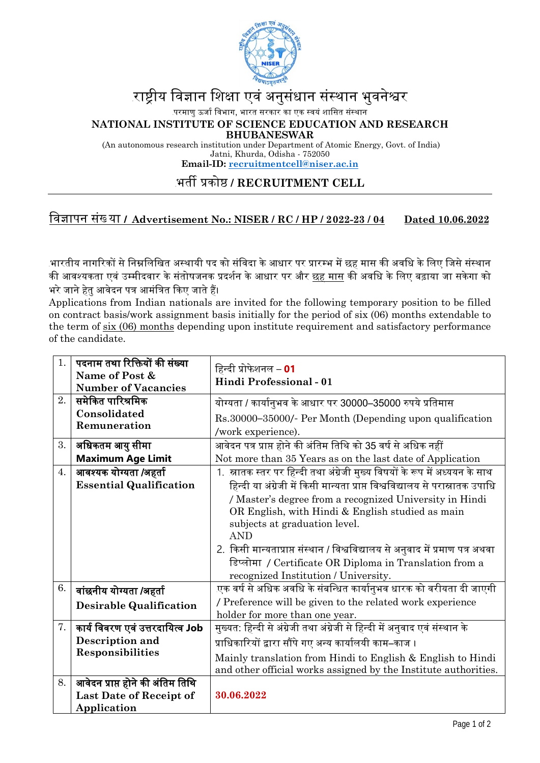

# राष्टीय विज्ञान शिक्षा एवं अनुसंधान संस्थान भुवनेश्वर

.परमाणु ऊर्जा विभाग, भारत सरकार का एक स्वयं शासित संस्था<mark>न</mark>

**NATIONAL INSTITUTE OF SCIENCE EDUCATION AND RESEARCH BHUBANESWAR**

(An autonomous research institution under Department of Atomic Energy, Govt. of India) Jatni, Khurda, Odisha - 752050 **Email-ID: [recruitmentcell@niser.ac.in](mailto:recruitmentcell@niser.ac.in)**

## <sup>29</sup>भत� �को� **/ RECRUITMENT CELL**

### िवज्ञापन संख् या **/ Advertisement No.: NISER / RC / HP / 2022-23 / 04 Dated 10.06.2022**

<u>.</u>भारतीय नागरिकों से निम्नलिखित अस्थायी पद को संविदा के आधार पर प्रारम्भ में छह मास की अवधि के लिए जिसे संस्थान की आवश्यकता एवं उम्मीदवार के संतोषजनक प्रदर्शन के आधार पर और <u>छह मास</u> की अवधि के लिए बढ़ाया जा सकेगा को भरे जाने हेतु आवेदन पत्र आमंत्रित किए जाते हैं।

Applications from Indian nationals are invited for the following temporary position to be filled on contract basis/work assignment basis initially for the period of six (06) months extendable to the term of six (06) months depending upon institute requirement and satisfactory performance of the candidate.

| 1. | पदनाम तथा रिक्तियों की संख्या<br>Name of Post &<br><b>Number of Vacancies</b> | हिन्दी प्रोफेशनल – <b>01</b><br>Hindi Professional - 01                                                                                                                                                                                                                                                                                                                                                                                                                                                       |
|----|-------------------------------------------------------------------------------|---------------------------------------------------------------------------------------------------------------------------------------------------------------------------------------------------------------------------------------------------------------------------------------------------------------------------------------------------------------------------------------------------------------------------------------------------------------------------------------------------------------|
| 2. | समेकित पारिश्रमिक<br>Consolidated<br>Remuneration                             | योग्यता / कार्यानुभव के आधार पर 30000–35000 रुपये प्रतिमास<br>Rs.30000-35000/- Per Month (Depending upon qualification<br>/work experience).                                                                                                                                                                                                                                                                                                                                                                  |
| 3. | अधिकतम आयु सीमा<br><b>Maximum Age Limit</b>                                   | आवेदन पत्र प्राप्त होने की अंतिम तिथि को 35 वर्ष से अधिक नहीं<br>Not more than 35 Years as on the last date of Application                                                                                                                                                                                                                                                                                                                                                                                    |
| 4. | आवश्यक योग्यता /अहर्ता<br><b>Essential Qualification</b>                      | 1. स्नातक स्तर पर हिन्दी तथा अंग्रेजी मुख्य विषयों के रूप में अध्ययन के साथ<br>हिन्दी या अंग्रेजी में किसी मान्यता प्राप्त विश्वविद्यालय से परास्नातक उपाधि<br>/ Master's degree from a recognized University in Hindi<br>OR English, with Hindi & English studied as main<br>subjects at graduation level.<br><b>AND</b><br>2. किसी मान्यताप्राप्त संस्थान / विश्वविद्यालय से अनुवाद में प्रमाण पत्र अथवा<br>डिप्लोमा / Certificate OR Diploma in Translation from a<br>recognized Institution / University. |
| 6. | वांछनीय योग्यता /अहर्ता<br><b>Desirable Qualification</b>                     | एक वर्ष से अधिक अवधि के संबन्धित कार्यानुभव धारक को वरीयता दी जाएगी<br>/ Preference will be given to the related work experience<br>holder for more than one year.                                                                                                                                                                                                                                                                                                                                            |
| 7. | कार्य विवरण एवं उत्तरदायित्व Job<br>Description and<br>Responsibilities       | मुख्यत: हिन्दी से अंग्रेजी तथा अंग्रेजी से हिन्दी में अनुवाद एवं संस्थान के<br>प्राधिकारियों द्वारा सौंपे गए अन्य कार्यालयी काम–काज ।<br>Mainly translation from Hindi to English & English to Hindi<br>and other official works assigned by the Institute authorities.                                                                                                                                                                                                                                       |
| 8. | आवेदन प्राप्त होने की अंतिम तिथि<br>Last Date of Receipt of<br>Application    | 30.06.2022                                                                                                                                                                                                                                                                                                                                                                                                                                                                                                    |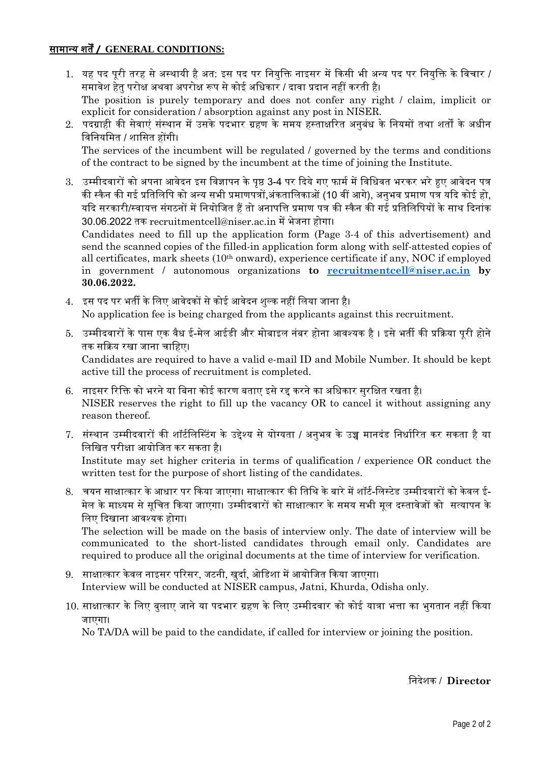#### **<sup>0</sup>**सामान्य शत� **/ GENERAL CONDITIONS:**

- 1. यह पद पूरी तरह से अस्थायी है अत: इस पद पर नियुक्ति नाइसर में किसी भी अन्य पद पर नियुक्ति के विचार / समावेश हेत परोक्ष अथवा अपरोक्ष रूप से कोई अधिकार / दावा प्रदान नहीं करती है। The position is purely temporary and does not confer any right / claim, implicit or explicit for consideration / absorption against any post in NISER.
- 2. पदग्राही की सेवाएं संस्थान में उसके पदभार ग्रहण के समय हस्ताक्षरित अनुबंध के नियमों तथा शर्तों के अधीन विनियमित / शासित होंगी। The services of the incumbent will be regulated / governed by the terms and conditions of the contract to be signed by the incumbent at the time of joining the Institute.
- 3. उम्मीदवारों को अपना आवेदन इस विज्ञापन के पृष्ठ 3-4 पर दिये गए फार्म में विधिवत भरकर भरे हुए आवेदन पत्र की स्कैन की गई प्रतिलिपि को अन्य सभी प्रमाणपत्रों.अंकतालिकाओं (10 वीं आगे), अनभव प्रमाण पत्र यदि कोई हो, यदि सरकारी/स्वायत्त संगठनों में नियोजित हैं तो अनापत्ति प्रमाण पत्र की स्कैन की गई प्रतिलिपियों के साथ दिनांक 30.06.2022 तक recruitmentcell@niser.ac.in म� भेजना होगा। Candidates need to fill up the application form (Page 3-4 of this advertisement) and

send the scanned copies of the filled-in application form along with self-attested copies of all certificates, mark sheets (10th onward), experience certificate if any, NOC if employed in government / autonomous organizations **to [recruitmentcell@niser.ac.in](mailto:recruitmentcell@niser.ac.in) by 30.06.2022.**

- 4. इस पद पर भर्ती के लिए आवेदकों से कोई आवेदन शुल्क नहीं लिया जाना है। No application fee is being charged from the applicants against this recruitment.
- 5. उम्मीदवारों के पास एक वैध ई-मेल आईडी और मोबाइल नंबर होना आवश्यक है । इसे भर्ती की प्रक्रिया पुरी होने तक सक्रिय रखा जाना चाहिए।

Candidates are required to have a valid e-mail ID and Mobile Number. It should be kept active till the process of recruitment is completed.

- 6. .नाइसर रिक्ति को भरने या बिना कोई कारण बताए इसे रद्द करने का अधिकार सुरक्षित रखता है। NISER reserves the right to fill up the vacancy OR to cancel it without assigning any reason thereof.
- 7. संस्थान उम्मीदवारों की शॉर्टलिस्टिंग के उद्देश्य से योग्यता / अनुभव के उच्च मानदंड निर्धारित कर सकता है या िलिखत परीक्षा आयोिजत कर सकता है।

Institute may set higher criteria in terms of qualification / experience OR conduct the written test for the purpose of short listing of the candidates.

8. .चयन साक्षात्कार के आधार पर किया जाएगा। साक्षात्कार की तिथि के बारे में शॉर्ट-लिस्टेड उम्मीदवारों को केवल ई-मेल के माध्यम से सूचित किया जाएगा। उम्मीदवारों को साक्षात्कार के समय सभी मूल दस्तावेजों को सत्यापन के िलए �दखाना आवश्यक होगा।

The selection will be made on the basis of interview only. The date of interview will be communicated to the short-listed candidates through email only. Candidates are required to produce all the original documents at the time of interview for verification.

- 9. साक्षात्कार केवल नाइसर परिसर, जटनी, खुर्दा, ओडिशा में आयोजित किया जाएगा। Interview will be conducted at NISER campus, Jatni, Khurda, Odisha only.
- 10. साक्षात्कार के लिए बुलाए जाने या पदभार ग्रहण के लिए उम्मीदवार को कोई यात्रा भत्ता का भुगतान नहीं किया जाएगा।

No TA/DA will be paid to the candidate, if called for interview or joining the position.

#### <sup>33</sup>िनदेशक / **Director**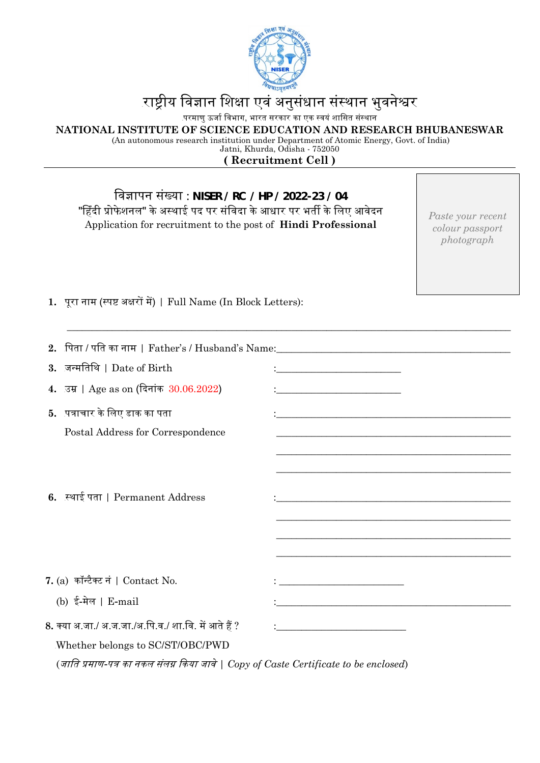

# राष्ट्रीय विज्ञान शिक्षा एवं अनुसंधान संस्थान भुवनेश्वर

.<br>परमाणु ऊर्जा विभाग, भारत सरकार का एक स्वयं शासित संस्थान

**NATIONAL INSTITUTE OF SCIENCE EDUCATION AND RESEARCH BHUBANESWAR**

(An autonomous research institution under Department of Atomic Energy, Govt. of India) Jatni, Khurda, Odisha - 752050

**( Recruitment Cell )**

| विज्ञापन संख्या : NISER / RC / HP / 2022-23 / 04<br>"हिंदी प्रोफेशनल" के अस्थाई पद पर संविदा के आधार पर भर्ती के लिए आवेदन<br>Application for recruitment to the post of Hindi Professional | Paste your recent<br>colour passport<br>photograph                                                                  |  |  |  |  |  |  |  |
|---------------------------------------------------------------------------------------------------------------------------------------------------------------------------------------------|---------------------------------------------------------------------------------------------------------------------|--|--|--|--|--|--|--|
| 1. पूरा नाम (स्पष्ट अक्षरों में)   Full Name (In Block Letters):                                                                                                                            |                                                                                                                     |  |  |  |  |  |  |  |
| 2.                                                                                                                                                                                          |                                                                                                                     |  |  |  |  |  |  |  |
| जन्मतिथि   Date of Birth<br>3.                                                                                                                                                              |                                                                                                                     |  |  |  |  |  |  |  |
| 4. उम्र   Age as on (दिनांक 30.06.2022)                                                                                                                                                     | <u> 1989 - Johann Barn, mars eta bainar eta baina eta baina eta baina eta baina eta baina eta baina eta baina e</u> |  |  |  |  |  |  |  |
| 5. पत्राचार के लिए डाक का पता                                                                                                                                                               |                                                                                                                     |  |  |  |  |  |  |  |
| Postal Address for Correspondence                                                                                                                                                           |                                                                                                                     |  |  |  |  |  |  |  |
|                                                                                                                                                                                             |                                                                                                                     |  |  |  |  |  |  |  |
| 6. स्थाई पता   Permanent Address                                                                                                                                                            |                                                                                                                     |  |  |  |  |  |  |  |
| 7. (a) कॉन्टैक्ट नं   Contact No.                                                                                                                                                           |                                                                                                                     |  |  |  |  |  |  |  |
| (b) ई-मेल   E-mail                                                                                                                                                                          |                                                                                                                     |  |  |  |  |  |  |  |
| 8. क्या अ.जा./ अ.ज.जा./अ.पि.व./ शा.वि. में आते हैं ?                                                                                                                                        |                                                                                                                     |  |  |  |  |  |  |  |
| Whether belongs to SC/ST/OBC/PWD                                                                                                                                                            |                                                                                                                     |  |  |  |  |  |  |  |

(जाित �माण-प� का नकल संल� �कया जावे*| Copy of Caste Certificate to be enclosed*)